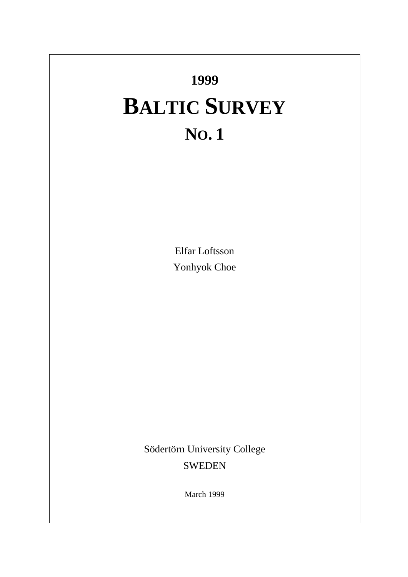# **1999 BALTIC SURVEY NO. 1**

Elfar Loftsson Yonhyok Choe

Södertörn University College SWEDEN

March 1999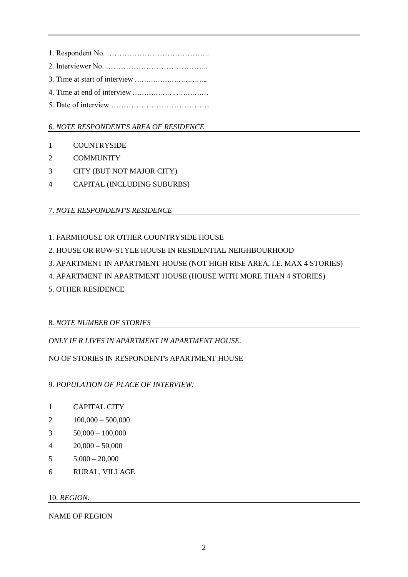1. Respondent No. ………………………………….. 2. Interviewer No. ………………………………….. 3. Time at start of interview …………………………... 4. Time at end of interview…………………………… 5. Date of interview …………………………………

## 6. *NOTE RESPONDENT'S AREA OF RESIDENCE*

- 1 COUNTRYSIDE
- 2 COMMUNITY
- 3 CITY (BUT NOT MAJOR CITY)
- 4 CAPITAL (INCLUDING SUBURBS)

# 7. *NOTE RESPONDENT'S RESIDENCE*

- 1. FARMHOUSE OR OTHER COUNTRYSIDE HOUSE
- 2. HOUSE OR ROW-STYLE HOUSE IN RESIDENTIAL NEIGHBOURHOOD
- 3. APARTMENT IN APARTMENT HOUSE (NOT HIGH RISE AREA, I.E. MAX 4 STORIES)
- 4. APARTMENT IN APARTMENT HOUSE (HOUSE WITH MORE THAN 4 STORIES)
- 5. OTHER RESIDENCE

# 8. *NOTE NUMBER OF STORIES*

*ONLY IF R LIVES IN APARTMENT IN APARTMENT HOUSE.*

NO OF STORIES IN RESPONDENT's APARTMENT HOUSE

9. *POPULATION OF PLACE OF INTERVIEW:*

- 1 CAPITAL CITY
- 2 100,000 500,000
- 3  $50,000 100,000$
- 4  $20,000 50,000$
- $5$   $5,000 20,000$
- 6 RURAL, VILLAGE

10. *REGION:*

NAME OF REGION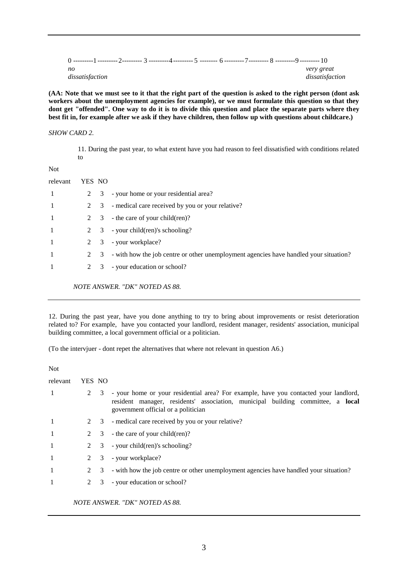| no |                 |  |  |  | very great      |
|----|-----------------|--|--|--|-----------------|
|    | dissatisfaction |  |  |  | dissatisfaction |

**(AA: Note that we must see to it that the right part of the question is asked to the right person (dont ask workers about the unemployment agencies for example), or we must formulate this question so that they dont get "offended". One way to do it is to divide this question and place the separate parts where they best fit in, for example after we ask if they have children, then follow up with questions about childcare.)**

#### *SHOW CARD 2.*

11. During the past year, to what extent have you had reason to feel dissatisfied with conditions related to

Not

| relevant       | YES NO |                         |                                                                                       |
|----------------|--------|-------------------------|---------------------------------------------------------------------------------------|
|                |        |                         | 2 3 - your home or your residential area?                                             |
|                |        | 2 3                     | - medical care received by you or your relative?                                      |
|                |        | 2 3                     | the care of your child(ren)?                                                          |
|                |        |                         | 2 $\,$ 3 $\,$ - your child(ren)'s schooling?                                          |
|                |        | 2 3                     | - your workplace?                                                                     |
| $\overline{1}$ |        | 2 3                     | - with how the job centre or other unemployment agencies have handled your situation? |
|                |        | $\overline{\mathbf{3}}$ | - your education or school?                                                           |
|                |        |                         |                                                                                       |

*NOTE ANSWER. "DK" NOTED AS 88.*

12. During the past year, have you done anything to try to bring about improvements or resist deterioration related to? For example, have you contacted your landlord, resident manager, residents' association, municipal building committee, a local government official or a politician.

(To the intervjuer - dont repet the alternatives that where not relevant in question A6.)

| Not            |        |             |                                                                                                                                                                                                                |
|----------------|--------|-------------|----------------------------------------------------------------------------------------------------------------------------------------------------------------------------------------------------------------|
| relevant       | YES NO |             |                                                                                                                                                                                                                |
| -1             |        | 2 3         | - your home or your residential area? For example, have you contacted your landlord,<br>resident manager, residents' association, municipal building committee, a local<br>government official or a politician |
| -1             |        |             | 2 3 - medical care received by you or your relative?                                                                                                                                                           |
| -1             |        |             | 2 $\,$ 3 $\,$ - the care of your child(ren)?                                                                                                                                                                   |
| $\overline{1}$ |        |             | 2 $\,$ 3 $\,$ - your child(ren)'s schooling?                                                                                                                                                                   |
| -1             |        |             | 2 3 - your workplace?                                                                                                                                                                                          |
| $\mathbf{1}$   |        | $2 \quad 3$ | - with how the job centre or other unemployment agencies have handled your situation?                                                                                                                          |
| 1              |        | 2 3         | - your education or school?                                                                                                                                                                                    |
|                |        |             |                                                                                                                                                                                                                |

*NOTE ANSWER. "DK" NOTED AS 88.*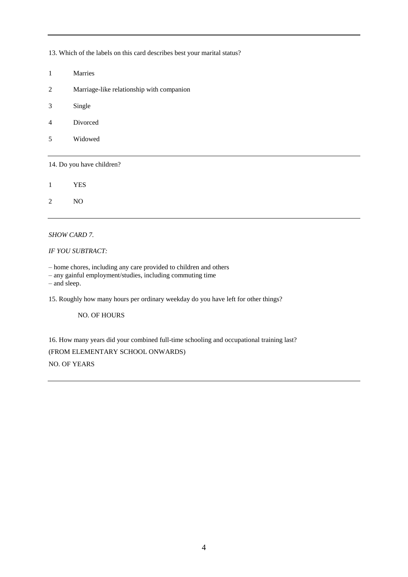13. Which of the labels on this card describes best your marital status?

- 1 Marries
- 2 Marriage-like relationship with companion
- 3 Single
- 4 Divorced
- 5 Widowed

14. Do you have children?

1 YES

2 NO

#### *SHOW CARD 7.*

#### *IF YOU SUBTRACT:*

– home chores, including any care provided to children and others

– any gainful employment/studies, including commuting time

– and sleep.

15. Roughly how many hours per ordinary weekday do you have left for other things?

#### NO. OF HOURS

16. How many years did your combined full-time schooling and occupational training last? (FROM ELEMENTARY SCHOOL ONWARDS) NO. OF YEARS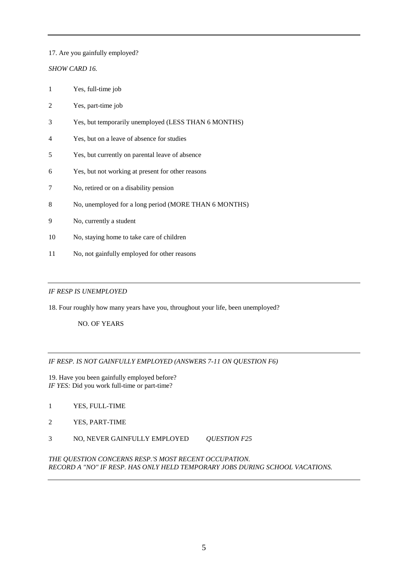#### 17. Are you gainfully employed?

### *SHOW CARD 16.*

- 1 Yes, full-time job
- 2 Yes, part-time job
- 3 Yes, but temporarily unemployed (LESS THAN 6 MONTHS)
- 4 Yes, but on a leave of absence for studies
- 5 Yes, but currently on parental leave of absence
- 6 Yes, but not working at present for other reasons
- 7 No, retired or on a disability pension
- 8 No, unemployed for a long period (MORE THAN 6 MONTHS)
- 9 No, currently a student
- 10 No, staying home to take care of children
- 11 No, not gainfully employed for other reasons

#### *IF RESP IS UNEMPLOYED*

18. Four roughly how many years have you, throughout your life, been unemployed?

NO. OF YEARS

#### *IF RESP. IS NOT GAINFULLY EMPLOYED (ANSWERS 7-11 ON QUESTION F6)*

- 19. Have you been gainfully employed before? *IF YES:* Did you work full-time or part-time?
- 1 YES, FULL-TIME
- 2 YES, PART-TIME
- 3 NO, NEVER GAINFULLY EMPLOYED *QUESTION F25*

#### *THE QUESTION CONCERNS RESP.'S MOST RECENT OCCUPATION. RECORD A "NO" IF RESP. HAS ONLY HELD TEMPORARY JOBS DURING SCHOOL VACATIONS.*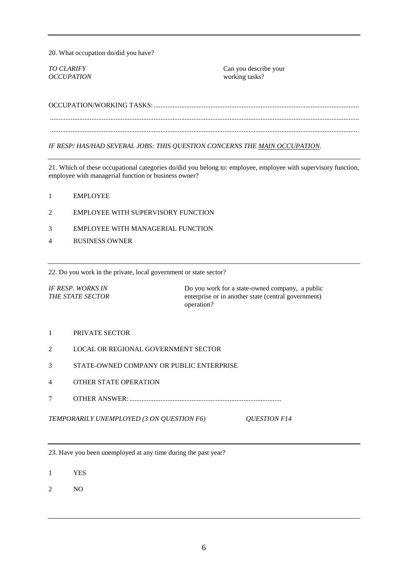20. What occupation do/did you have?

*OCCUPATION* working tasks?

*TO CLARIFY* Can you describe your

OCCUPATION/WORKING TASKS:....................................................................................................................... ................................................................................................................................................................................... ................................................................................................................................................................................... *IF RESP/ HAS/HAD SEVERAL JOBS: THIS QUESTION CONCERNS THE MAIN OCCUPATION.*

21. Which of these occupational categories do/did you belong to: employee, employee with supervisory function, employee with managerial function or business owner?

- 1 EMPLOYEE
- 2 EMPLOYEE WITH SUPERVISORY FUNCTION
- 3 EMPLOYEE WITH MANAGERIAL FUNCTION
- 4 BUSINESS OWNER

22. Do you work in the private, local government or state sector?

*IF RESP. WORKS IN* Do you work for a state-owned company, a public **THE STATE SECTOR** enterprise or in another state (central government) operation?

- 1 PRIVATE SECTOR
- 2 LOCAL OR REGIONAL GOVERNMENT SECTOR
- 3 STATE-OWNED COMPANY OR PUBLIC ENTERPRISE
- 4 OTHER STATE OPERATION
- 7 OTHER ANSWER: ........................................................................................

*TEMPORARILY UNEMPLOYED (3 ON QUESTION F6) QUESTION F14*

23. Have you been unemployed at any time during the past year?

1 YES

2 NO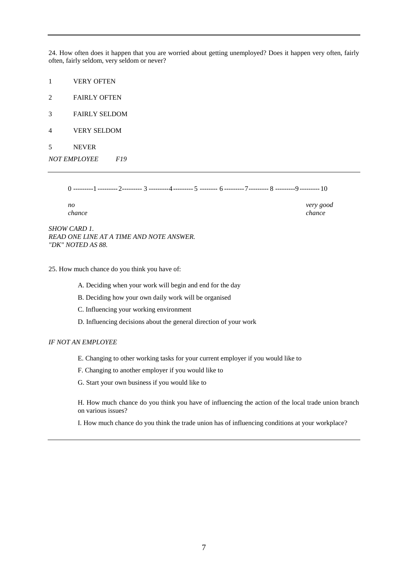24. How often does it happen that you are worried about getting unemployed? Does it happen very often, fairly often, fairly seldom, very seldom or never?

1 VERY OFTEN

2 FAIRLY OFTEN

- 3 FAIRLY SELDOM
- 4 VERY SELDOM
- 5 NEVER

*NOT EMPLOYEE F19*

0 ---------1 ---------2--------- 3 ---------4--------- 5 -------- 6 ---------7--------- 8 ---------9 --------- 10

*no very good chance chance*

*SHOW CARD 1. READ ONE LINE AT A TIME AND NOTE ANSWER. "DK" NOTED AS 88.*

25. How much chance do you think you have of:

A. Deciding when your work will begin and end for the day

B. Deciding how your own daily work will be organised

C. Influencing your working environment

D. Influencing decisions about the general direction of your work

#### *IF NOT AN EMPLOYEE*

E. Changing to other working tasks for your current employer if you would like to

F. Changing to another employer if you would like to

G. Start your own business if you would like to

H. How much chance do you think you have of influencing the action of the local trade union branch on various issues?

I. How much chance do you think the trade union has of influencing conditions at your workplace?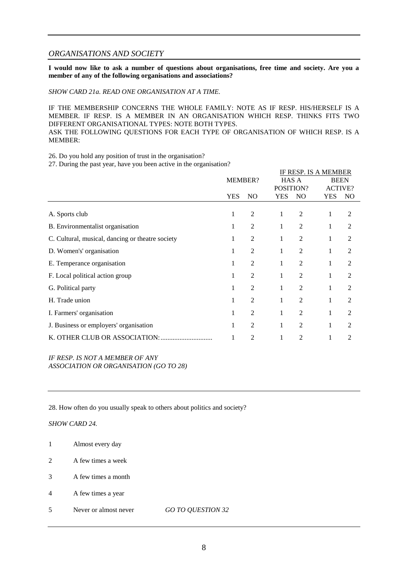#### *ORGANISATIONS AND SOCIETY*

**I would now like to ask a number of questions about organisations, free time and society. Are you a member of any of the following organisations and associations?**

*SHOW CARD 21a. READ ONE ORGANISATION AT A TIME.*

IF THE MEMBERSHIP CONCERNS THE WHOLE FAMILY: NOTE AS IF RESP. HIS/HERSELF IS A MEMBER. IF RESP. IS A MEMBER IN AN ORGANISATION WHICH RESP. THINKS FITS TWO DIFFERENT ORGANISATIONAL TYPES: NOTE BOTH TYPES. ASK THE FOLLOWING QUESTIONS FOR EACH TYPE OF ORGANISATION OF WHICH RESP. IS A MEMBER:

26. Do you hold any position of trust in the organisation?

27. During the past year, have you been active in the organisation?

|                                                  |                |                | <b>IF RESP. IS A MEMBER</b> |                |             |                |  |
|--------------------------------------------------|----------------|----------------|-----------------------------|----------------|-------------|----------------|--|
|                                                  | <b>MEMBER?</b> |                | <b>HAS A</b>                |                | <b>BEEN</b> |                |  |
|                                                  |                |                | POSITION?                   |                |             | <b>ACTIVE?</b> |  |
|                                                  | <b>YES</b>     | N <sub>O</sub> | <b>YES</b>                  | N <sub>O</sub> | <b>YES</b>  | NO.            |  |
|                                                  |                |                |                             |                |             |                |  |
| A. Sports club                                   | 1              | 2              | 1                           | $\overline{c}$ |             | 2              |  |
| B. Environmentalist organisation                 | 1              | 2              | 1                           | $\overline{2}$ | 1           | 2              |  |
| C. Cultural, musical, dancing or theatre society |                | 2              | 1                           | 2              | 1           | 2              |  |
| D. Women's' organisation                         | 1              | $\overline{2}$ | 1                           | 2              |             | 2              |  |
| E. Temperance organisation                       | 1              | 2              | 1                           | $\overline{2}$ | 1           | $\overline{2}$ |  |
| F. Local political action group                  |                | 2              |                             | $\overline{2}$ | 1           | $\overline{2}$ |  |
| G. Political party                               | 1              | $\overline{2}$ | 1                           | $\overline{2}$ |             | 2              |  |
| H. Trade union                                   | 1              | 2              | 1                           | $\overline{2}$ | 1           | $\overline{2}$ |  |
| I. Farmers' organisation                         |                | $\overline{2}$ | 1                           | 2              | 1           | 2              |  |
| J. Business or employers' organisation           | 1              | $\overline{2}$ | 1                           | 2              |             | 2              |  |
| K. OTHER CLUB OR ASSOCIATION:                    |                | 2              |                             | 2              |             | 2              |  |

*IF RESP. IS NOT A MEMBER OF ANY ASSOCIATION OR ORGANISATION (GO TO 28)*

28. How often do you usually speak to others about politics and society?

#### *SHOW CARD 24.*

- 1 Almost every day
- 2 A few times a week
- 3 A few times a month
- 4 A few times a year
- 5 Never or almost never *GO TO QUESTION 32*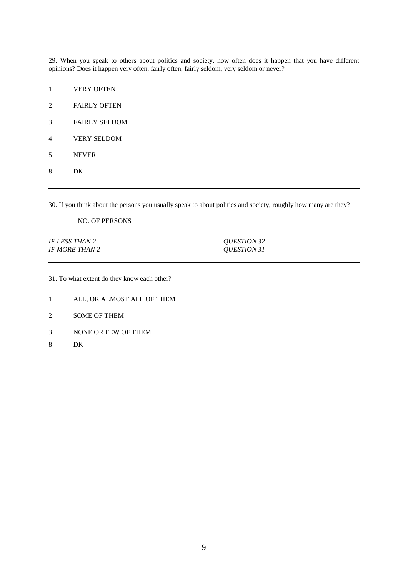29. When you speak to others about politics and society, how often does it happen that you have different opinions? Does it happen very often, fairly often, fairly seldom, very seldom or never?

- VERY OFTEN
- FAIRLY OFTEN
- FAIRLY SELDOM
- VERY SELDOM
- NEVER
- DK

30. If you think about the persons you usually speak to about politics and society, roughly how many are they?

NO. OF PERSONS

*IF LESS THAN 2 QUESTION 32 IF MORE THAN 2 QUESTION 31*

31. To what extent do they know each other?

- ALL, OR ALMOST ALL OF THEM
- SOME OF THEM
- NONE OR FEW OF THEM
- DK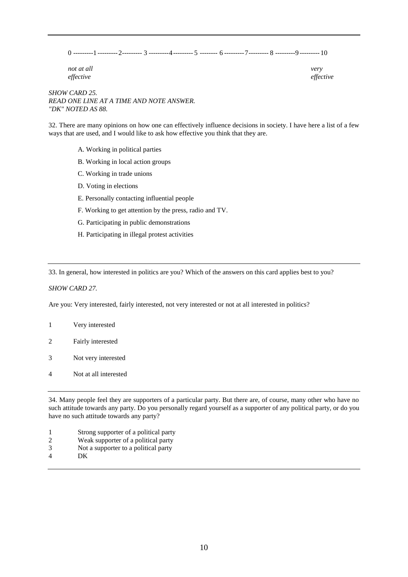0 ---------1 ---------2--------- 3 ---------4--------- 5 -------- 6 ---------7--------- 8 ---------9 --------- 10

*not at all very effective effective*

*SHOW CARD 25. READ ONE LINE AT A TIME AND NOTE ANSWER. "DK" NOTED AS 88.*

32. There are many opinions on how one can effectively influence decisions in society. I have here a list of a few ways that are used, and I would like to ask how effective you think that they are.

- A. Working in political parties
- B. Working in local action groups
- C. Working in trade unions
- D. Voting in elections
- E. Personally contacting influential people
- F. Working to get attention by the press, radio and TV.
- G. Participating in public demonstrations
- H. Participating in illegal protest activities

33. In general, how interested in politics are you? Which of the answers on this card applies best to you?

*SHOW CARD 27.*

Are you: Very interested, fairly interested, not very interested or not at all interested in politics?

- 1 Very interested
- 2 Fairly interested
- 3 Not very interested
- 4 Not at all interested

34. Many people feel they are supporters of a particular party. But there are, of course, many other who have no such attitude towards any party. Do you personally regard yourself as a supporter of any political party, or do you have no such attitude towards any party?

- 1 Strong supporter of a political party
- 2 Weak supporter of a political party
- 3 Not a supporter to a political party
- 4 DK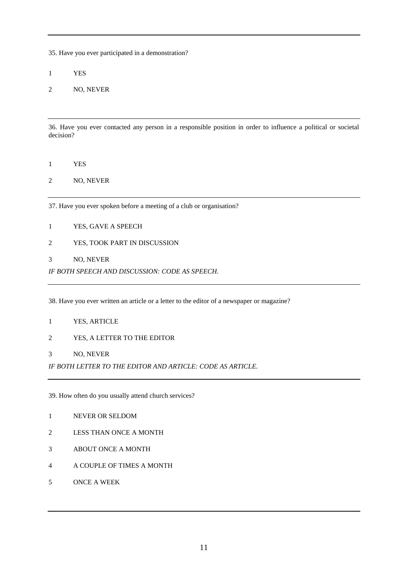35. Have you ever participated in a demonstration?

YES

NO, NEVER

36. Have you ever contacted any person in a responsible position in order to influence a political or societal decision?

- YES
- NO, NEVER

37. Have you ever spoken before a meeting of a club or organisation?

- YES, GAVE A SPEECH
- YES, TOOK PART IN DISCUSSION
- NO, NEVER

*IF BOTH SPEECH AND DISCUSSION: CODE AS SPEECH.*

38. Have you ever written an article or a letter to the editor of a newspaper or magazine?

- YES, ARTICLE
- YES, A LETTER TO THE EDITOR
- NO, NEVER

*IF BOTH LETTER TO THE EDITOR AND ARTICLE: CODE AS ARTICLE.*

39. How often do you usually attend church services?

- NEVER OR SELDOM
- LESS THAN ONCE A MONTH
- ABOUT ONCE A MONTH
- A COUPLE OF TIMES A MONTH
- ONCE A WEEK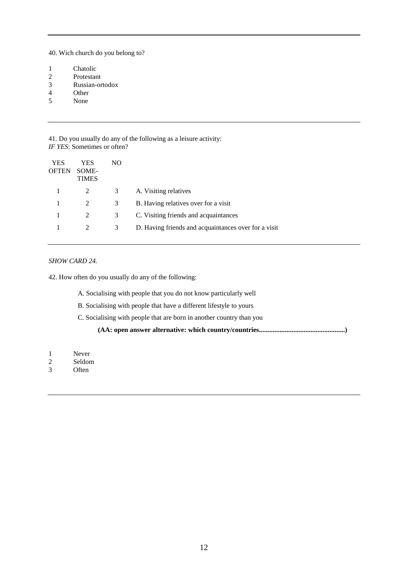40. Wich church do you belong to?

- 1 Chatolic<br>2 Protestar
- Protestant
- 3 Russian-ortodox
- 4 Other<br>5 None
- 5 None

41. Do you usually do any of the following as a leisure activity: *IF YES*: Sometimes or often?

| YES<br><b>OFTEN</b> | YES<br>SOME-<br><b>TIMES</b> | NO. |                                                      |
|---------------------|------------------------------|-----|------------------------------------------------------|
| 1                   | 2                            | 3   | A. Visiting relatives                                |
|                     |                              | 3   | B. Having relatives over for a visit                 |
| 1                   |                              | 3   | C. Visiting friends and acquaintances                |
|                     |                              | 3   | D. Having friends and acquaintances over for a visit |

#### *SHOW CARD 24.*

42. How often do you usually do any of the following:

A. Socialising with people that you do not know particularly well

B. Socialising with people that have a different lifestyle to yours

C. Socialising with people that are born in another country than you

**(AA: open answer alternative: which country/countries..................................................)**

- 1 Never
- 2 Seldom
- 3 Often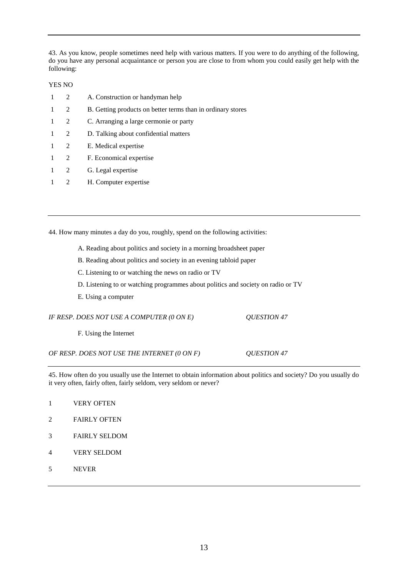43. As you know, people sometimes need help with various matters. If you were to do anything of the following, do you have any personal acquaintance or person you are close to from whom you could easily get help with the following:

#### YES NO

| -1           | 2              | A. Construction or handyman help                            |
|--------------|----------------|-------------------------------------------------------------|
| $\mathbf{1}$ | 2              | B. Getting products on better terms than in ordinary stores |
| 1            | 2              | C. Arranging a large cermonie or party                      |
| $\mathbf{1}$ | 2              | D. Talking about confidential matters                       |
| $\mathbf{1}$ | 2              | E. Medical expertise                                        |
| 1            | 2              | F. Economical expertise                                     |
| 1            | 2              | G. Legal expertise                                          |
|              | $\mathfrak{D}$ | H. Computer expertise                                       |

44. How many minutes a day do you, roughly, spend on the following activities:

- A. Reading about politics and society in a morning broadsheet paper
- B. Reading about politics and society in an evening tabloid paper
- C. Listening to or watching the news on radio or TV
- D. Listening to or watching programmes about politics and society on radio or TV
- E. Using a computer

| IF RESP. DOES NOT USE A COMPUTER (0 ON E)   | <i>OUESTION 47</i> |
|---------------------------------------------|--------------------|
| F. Using the Internet                       |                    |
| OF RESP. DOES NOT USE THE INTERNET (0 ON F) | <i>OUESTION 47</i> |

45. How often do you usually use the Internet to obtain information about politics and society? Do you usually do it very often, fairly often, fairly seldom, very seldom or never?

- 1 VERY OFTEN
- 2 FAIRLY OFTEN
- 3 FAIRLY SELDOM
- 4 VERY SELDOM
- 5 NEVER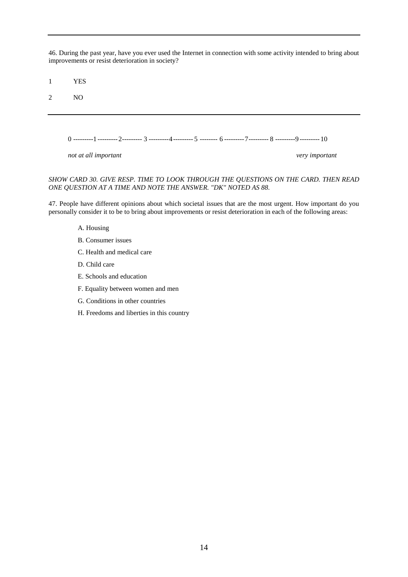46. During the past year, have you ever used the Internet in connection with some activity intended to bring about improvements or resist deterioration in society?

1 YES

2 NO

0 ---------1 ---------2--------- 3 ---------4--------- 5 -------- 6 ---------7--------- 8 ---------9 --------- 10

*not at all important very important*

#### *SHOW CARD 30. GIVE RESP. TIME TO LOOK THROUGH THE QUESTIONS ON THE CARD. THEN READ ONE QUESTION AT A TIME AND NOTE THE ANSWER. "DK" NOTED AS 88.*

47. People have different opinions about which societal issues that are the most urgent. How important do you personally consider it to be to bring about improvements or resist deterioration in each of the following areas:

- A. Housing
- B. Consumer issues
- C. Health and medical care
- D. Child care
- E. Schools and education
- F. Equality between women and men
- G. Conditions in other countries
- H. Freedoms and liberties in this country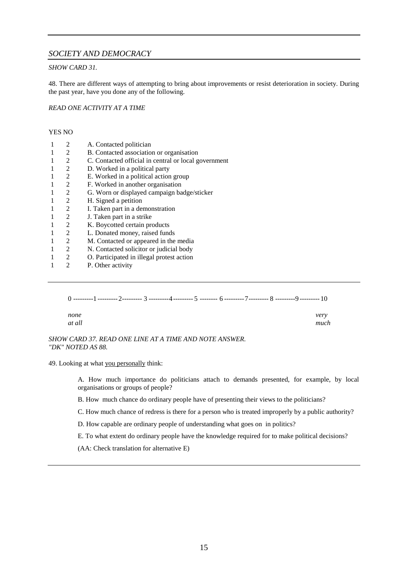### *SOCIETY AND DEMOCRACY*

#### *SHOW CARD 31.*

48. There are different ways of attempting to bring about improvements or resist deterioration in society. During the past year, have you done any of the following.

#### *READ ONE ACTIVITY AT A TIME*

#### YES NO

| 2 | A. Contacted politician                              |
|---|------------------------------------------------------|
| 2 | B. Contacted association or organisation             |
| 2 | C. Contacted official in central or local government |
| 2 | D. Worked in a political party                       |
| 2 | E. Worked in a political action group                |
| 2 | F. Worked in another organisation                    |
| 2 | G. Worn or displayed campaign badge/sticker          |
| 2 | H. Signed a petition                                 |
| 2 | I. Taken part in a demonstration                     |
| 2 | J. Taken part in a strike                            |
| 2 | K. Boycotted certain products                        |
| 2 | L. Donated money, raised funds                       |
| 2 | M. Contacted or appeared in the media                |
| 2 | N. Contacted solicitor or judicial body              |
| 2 | O. Participated in illegal protest action            |
| 2 | P. Other activity                                    |
|   |                                                      |

0 ---------1 ---------2--------- 3 ---------4--------- 5 -------- 6 ---------7--------- 8 ---------9 --------- 10 *none very at all much*

*SHOW CARD 37. READ ONE LINE AT A TIME AND NOTE ANSWER. "DK" NOTED AS 88.*

49. Looking at what you personally think:

A. How much importance do politicians attach to demands presented, for example, by local organisations or groups of people?

B. How much chance do ordinary people have of presenting their views to the politicians?

C. How much chance of redress is there for a person who is treated improperly by a public authority?

D. How capable are ordinary people of understanding what goes on in politics?

E. To what extent do ordinary people have the knowledge required for to make political decisions?

(AA: Check translation for alternative E)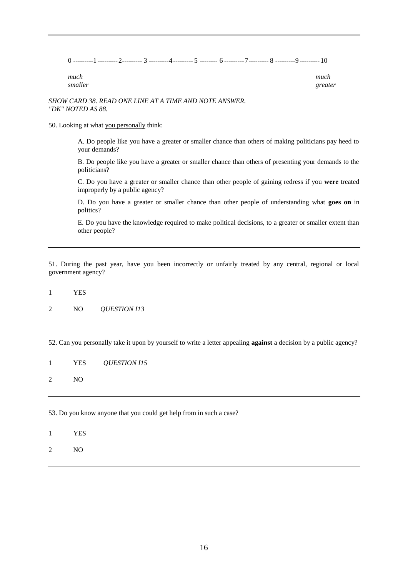|  | ---------- |  |  | --------- []---------- /---------- ^ |  |  |
|--|------------|--|--|--------------------------------------|--|--|
|  |            |  |  |                                      |  |  |

| much    | much    |
|---------|---------|
| smaller | greater |

#### *SHOW CARD 38. READ ONE LINE AT A TIME AND NOTE ANSWER. "DK" NOTED AS 88.*

50. Looking at what you personally think:

A. Do people like you have a greater or smaller chance than others of making politicians pay heed to your demands?

B. Do people like you have a greater or smaller chance than others of presenting your demands to the politicians?

C. Do you have a greater or smaller chance than other people of gaining redress if you **were** treated improperly by a public agency?

D. Do you have a greater or smaller chance than other people of understanding what **goes on** in politics?

E. Do you have the knowledge required to make political decisions, to a greater or smaller extent than other people?

51. During the past year, have you been incorrectly or unfairly treated by any central, regional or local government agency?

1 YES

2 NO *QUESTION I13*

52. Can you personally take it upon by yourself to write a letter appealing **against** a decision by a public agency?

1 YES *QUESTION I15*

2 NO

53. Do you know anyone that you could get help from in such a case?

- 1 YES
- 2 NO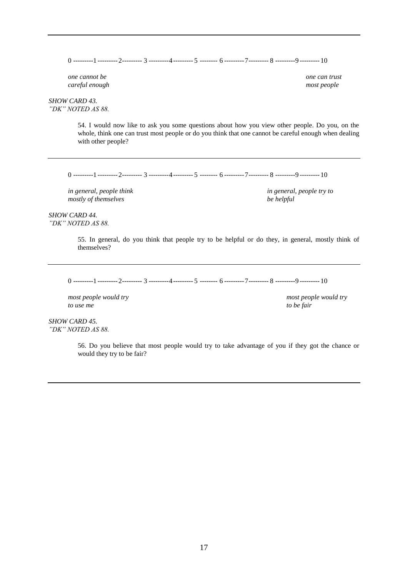0 ---------1 ---------2--------- 3 ---------4--------- 5 -------- 6 ---------7--------- 8 ---------9 --------- 10

*one cannot be one can trust careful enough most people*

*SHOW CARD 43. "DK" NOTED AS 88.*

> 54. I would now like to ask you some questions about how you view other people. Do you, on the whole, think one can trust most people or do you think that one cannot be careful enough when dealing with other people?

0 ---------1 ---------2--------- 3 ---------4--------- 5 -------- 6 ---------7--------- 8 ---------9 --------- 10

*in general, people think in general, people try to mostly of themselves be helpful*

*SHOW CARD 44. "DK" NOTED AS 88.*

> 55. In general, do you think that people try to be helpful or do they, in general, mostly think of themselves?

0 ---------1 ---------2--------- 3 ---------4--------- 5 -------- 6 ---------7--------- 8 ---------9 --------- 10

*most people would try most people would try to use me to be fair*

*SHOW CARD 45. "DK" NOTED AS 88.*

> 56. Do you believe that most people would try to take advantage of you if they got the chance or would they try to be fair?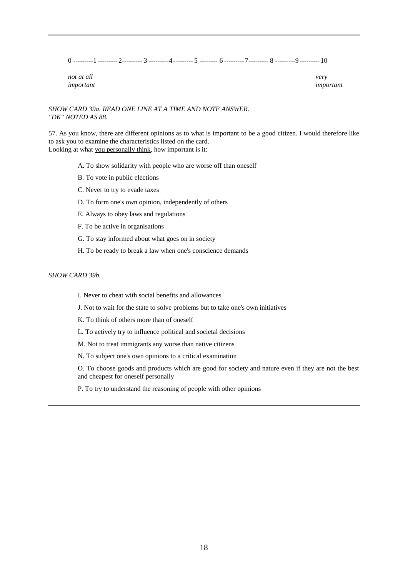|  |  | . | ---------- | ---------- |  |  |  | --------- []---------- /---------- ^ |  |  |  |  |
|--|--|---|------------|------------|--|--|--|--------------------------------------|--|--|--|--|
|--|--|---|------------|------------|--|--|--|--------------------------------------|--|--|--|--|

| not at all | very      |
|------------|-----------|
| important  | important |

#### *SHOW CARD 39a. READ ONE LINE AT A TIME AND NOTE ANSWER. "DK" NOTED AS 88.*

57. As you know, there are different opinions as to what is important to be a good citizen. I would therefore like to ask you to examine the characteristics listed on the card. Looking at what you personally think, how important is it:

- A. To show solidarity with people who are worse off than oneself
- B. To vote in public elections
- C. Never to try to evade taxes
- D. To form one's own opinion, independently of others
- E. Always to obey laws and regulations
- F. To be active in organisations
- G. To stay informed about what goes on in society
- H. To be ready to break a law when one's conscience demands

#### *SHOW CARD 39b.*

- I. Never to cheat with social benefits and allowances
- J. Not to wait for the state to solve problems but to take one's own initiatives
- K. To think of others more than of oneself
- L. To actively try to influence political and societal decisions
- M. Not to treat immigrants any worse than native citizens
- N. To subject one's own opinions to a critical examination

O. To choose goods and products which are good for society and nature even if they are not the best and cheapest for oneself personally

P. To try to understand the reasoning of people with other opinions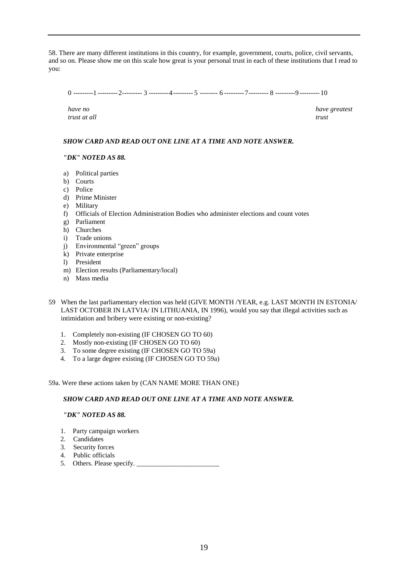58. There are many different institutions in this country, for example, government, courts, police, civil servants, and so on. Please show me on this scale how great is your personal trust in each of these institutions that I read to you:

0 ---------1 ---------2--------- 3 ---------4--------- 5 -------- 6 ---------7--------- 8 ---------9 --------- 10

*trust at all trust*

*have no have greatest*

#### *SHOW CARD AND READ OUT ONE LINE AT A TIME AND NOTE ANSWER.*

#### *"DK" NOTED AS 88.*

- a) Political parties
- b) Courts
- c) Police
- d) Prime Minister
- e) Military
- f) Officials of Election Administration Bodies who administer elections and count votes
- g) Parliament
- h) Churches
- i) Trade unions
- j) Environmental "green" groups
- k) Private enterprise
- l) President
- m) Election results (Parliamentary/local)
- n) Mass media
- 59 When the last parliamentary election was held (GIVE MONTH /YEAR, e.g. LAST MONTH IN ESTONIA/ LAST OCTOBER IN LATVIA/ IN LITHUANIA, IN 1996), would you say that illegal activities such as intimidation and bribery were existing or non-existing?
	- 1. Completely non-existing (IF CHOSEN GO TO 60)
	- 2. Mostly non-existing (IF CHOSEN GO TO 60)
	- 3. To some degree existing (IF CHOSEN GO TO 59a)
	- 4. To a large degree existing (IF CHOSEN GO TO 59a)

#### 59a. Were these actions taken by (CAN NAME MORE THAN ONE)

#### *SHOW CARD AND READ OUT ONE LINE AT A TIME AND NOTE ANSWER.*

#### *"DK" NOTED AS 88.*

- 1. Party campaign workers
- 2. Candidates
- 3. Security forces
- 4. Public officials
- 5. Others. Please specify. \_\_\_\_\_\_\_\_\_\_\_\_\_\_\_\_\_\_\_\_\_\_\_\_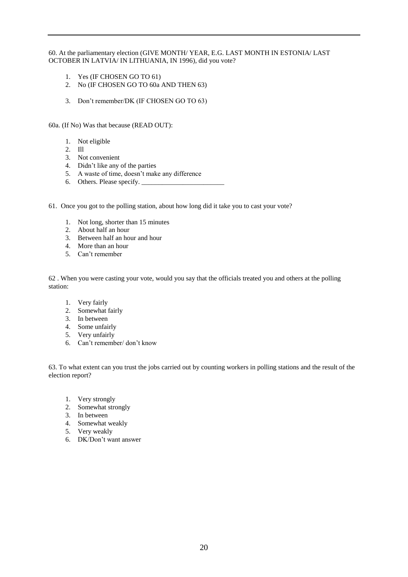### 60. At the parliamentary election (GIVE MONTH/ YEAR, E.G. LAST MONTH IN ESTONIA/ LAST OCTOBER IN LATVIA/ IN LITHUANIA, IN 1996), did you vote?

- 1. Yes (IF CHOSEN GO TO 61)
- 2. No (IF CHOSEN GO TO 60a AND THEN 63)
- 3. Don"t remember/DK (IF CHOSEN GO TO 63)

60a. (If No) Was that because (READ OUT):

- 1. Not eligible
- 2. Ill
- 3. Not convenient
- 4. Didn"t like any of the parties
- 5. A waste of time, doesn"t make any difference
- 6. Others. Please specify. \_\_\_\_\_\_\_\_\_\_\_\_\_\_\_\_\_\_\_\_\_\_\_\_
- 61. Once you got to the polling station, about how long did it take you to cast your vote?
	- 1. Not long, shorter than 15 minutes
	- 2. About half an hour
	- 3. Between half an hour and hour
	- 4. More than an hour
	- 5. Can"t remember

62 . When you were casting your vote, would you say that the officials treated you and others at the polling station:

- 1. Very fairly
- 2. Somewhat fairly
- 3. In between
- 4. Some unfairly
- 5. Very unfairly
- 6. Can"t remember/ don"t know

63. To what extent can you trust the jobs carried out by counting workers in polling stations and the result of the election report?

- 1. Very strongly
- 2. Somewhat strongly
- 3. In between
- 4. Somewhat weakly
- 5. Very weakly
- 6. DK/Don"t want answer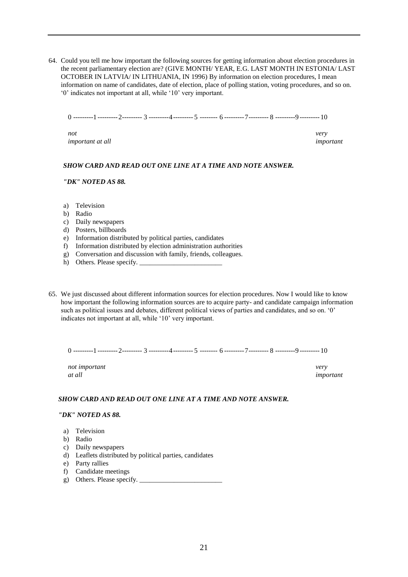64. Could you tell me how important the following sources for getting information about election procedures in the recent parliamentary election are? (GIVE MONTH/ YEAR, E.G. LAST MONTH IN ESTONIA/ LAST OCTOBER IN LATVIA/ IN LITHUANIA, IN 1996) By information on election procedures, I mean information on name of candidates, date of election, place of polling station, voting procedures, and so on. "0" indicates not important at all, while "10" very important.

0 ---------1 ---------2--------- 3 ---------4--------- 5 -------- 6 ---------7--------- 8 ---------9 --------- 10

*not very important at all important*

#### *SHOW CARD AND READ OUT ONE LINE AT A TIME AND NOTE ANSWER.*

#### *"DK" NOTED AS 88.*

- a) Television
- b) Radio
- c) Daily newspapers
- d) Posters, billboards
- e) Information distributed by political parties, candidates
- f) Information distributed by election administration authorities
- g) Conversation and discussion with family, friends, colleagues.
- h) Others. Please specify.
- 65. We just discussed about different information sources for election procedures. Now I would like to know how important the following information sources are to acquire party- and candidate campaign information such as political issues and debates, different political views of parties and candidates, and so on. '0' indicates not important at all, while "10" very important.

 $0$  ---------1 --------- 2--------- 3 ---------4 --------- 5 -------- 6 --------- 7--------- 8 ---------9 --------- 10

*not important very*

*at all important*

#### *SHOW CARD AND READ OUT ONE LINE AT A TIME AND NOTE ANSWER.*

#### *"DK" NOTED AS 88.*

- a) Television
- b) Radio
- c) Daily newspapers
- d) Leaflets distributed by political parties, candidates
- e) Party rallies
- f) Candidate meetings
- g) Others. Please specify.  $\Box$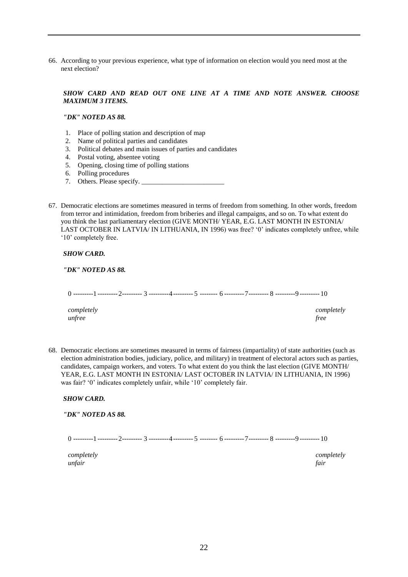66. According to your previous experience, what type of information on election would you need most at the next election?

#### *SHOW CARD AND READ OUT ONE LINE AT A TIME AND NOTE ANSWER. CHOOSE MAXIMUM 3 ITEMS.*

*"DK" NOTED AS 88.*

- 1. Place of polling station and description of map
- 2. Name of political parties and candidates
- 3. Political debates and main issues of parties and candidates
- 4. Postal voting, absentee voting
- 5. Opening, closing time of polling stations
- 6. Polling procedures
- 7. Others. Please specify.
- 67. Democratic elections are sometimes measured in terms of freedom from something. In other words, freedom from terror and intimidation, freedom from briberies and illegal campaigns, and so on. To what extent do you think the last parliamentary election (GIVE MONTH/ YEAR, E.G. LAST MONTH IN ESTONIA/ LAST OCTOBER IN LATVIA/ IN LITHUANIA, IN 1996) was free? '0' indicates completely unfree, while '10' completely free.

*SHOW CARD.* 

*"DK" NOTED AS 88.*

0 ---------1 ---------2--------- 3 ---------4--------- 5 -------- 6 ---------7--------- 8 ---------9 --------- 10

*unfree free*

*completely completely*

68. Democratic elections are sometimes measured in terms of fairness (impartiality) of state authorities (such as election administration bodies, judiciary, police, and military) in treatment of electoral actors such as parties, candidates, campaign workers, and voters. To what extent do you think the last election (GIVE MONTH/ YEAR, E.G. LAST MONTH IN ESTONIA/ LAST OCTOBER IN LATVIA/ IN LITHUANIA, IN 1996) was fair? '0' indicates completely unfair, while '10' completely fair.

#### *SHOW CARD.*

*"DK" NOTED AS 88.*

0 ---------1 ---------2--------- 3 ---------4--------- 5 -------- 6 ---------7--------- 8 ---------9 --------- 10

*unfair fair*

*completely completely*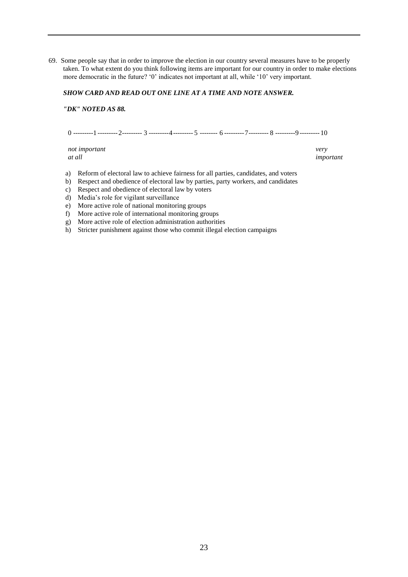69. Some people say that in order to improve the election in our country several measures have to be properly taken. To what extent do you think following items are important for our country in order to make elections more democratic in the future? "0" indicates not important at all, while "10" very important.

#### *SHOW CARD AND READ OUT ONE LINE AT A TIME AND NOTE ANSWER.*

*"DK" NOTED AS 88.*

 $0$  ---------1 --------- 2--------- 3 ---------4 --------- 5 -------- 6 --------- 7--------- 8 ---------9 --------- 10

*not important very at all important*

- a) Reform of electoral law to achieve fairness for all parties, candidates, and voters
- b) Respect and obedience of electoral law by parties, party workers, and candidates
- c) Respect and obedience of electoral law by voters
- d) Media"s role for vigilant surveillance
- e) More active role of national monitoring groups
- f) More active role of international monitoring groups
- g) More active role of election administration authorities
- h) Stricter punishment against those who commit illegal election campaigns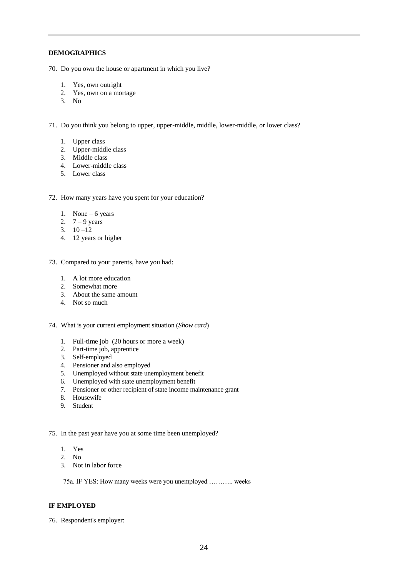#### **DEMOGRAPHICS**

70. Do you own the house or apartment in which you live?

- 1. Yes, own outright
- 2. Yes, own on a mortage
- 3. No

71. Do you think you belong to upper, upper-middle, middle, lower-middle, or lower class?

- 1. Upper class
- 2. Upper-middle class
- 3. Middle class
- 4. Lower-middle class
- 5. Lower class

72. How many years have you spent for your education?

- 1. None 6 years
- 2.  $7 9$  years
- 3.  $10 12$
- 4. 12 years or higher

73. Compared to your parents, have you had:

- 1. A lot more education
- 2. Somewhat more
- 3. About the same amount
- 4. Not so much

74. What is your current employment situation (*Show card*)

- 1. Full-time job (20 hours or more a week)
- 2. Part-time job, apprentice
- 3. Self-employed
- 4. Pensioner and also employed
- 5. Unemployed without state unemployment benefit
- 6. Unemployed with state unemployment benefit
- 7. Pensioner or other recipient of state income maintenance grant
- 8. Housewife
- 9. Student

75. In the past year have you at some time been unemployed?

- 1. Yes
- 2. No
- 3. Not in labor force

75a. IF YES: How many weeks were you unemployed ……….. weeks

#### **IF EMPLOYED**

76. Respondent's employer: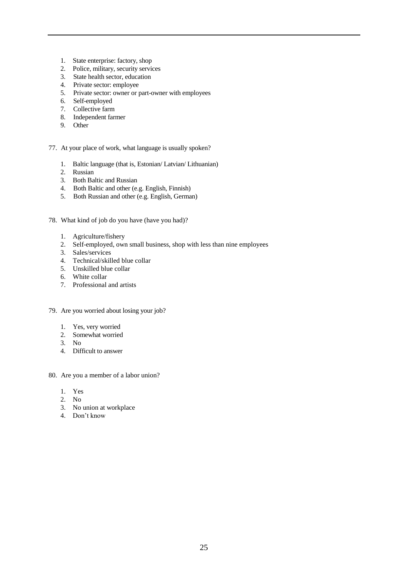- 1. State enterprise: factory, shop
- 2. Police, military, security services
- 3. State health sector, education
- 4. Private sector: employee
- 5. Private sector: owner or part-owner with employees
- 6. Self-employed
- 7. Collective farm
- 8. Independent farmer
- 9. Other
- 77. At your place of work, what language is usually spoken?
	- 1. Baltic language (that is, Estonian/ Latvian/ Lithuanian)
	- 2. Russian
	- 3. Both Baltic and Russian
	- 4. Both Baltic and other (e.g. English, Finnish)
	- 5. Both Russian and other (e.g. English, German)
- 78. What kind of job do you have (have you had)?
	- 1. Agriculture/fishery
	- 2. Self-employed, own small business, shop with less than nine employees
	- 3. Sales/services
	- 4. Technical/skilled blue collar
	- 5. Unskilled blue collar
	- 6. White collar
	- 7. Professional and artists
- 79. Are you worried about losing your job?
	- 1. Yes, very worried
	- 2. Somewhat worried
	- 3. No
	- 4. Difficult to answer
- 80. Are you a member of a labor union?
	- 1. Yes
	- 2. No
	- 3. No union at workplace
	- 4. Don"t know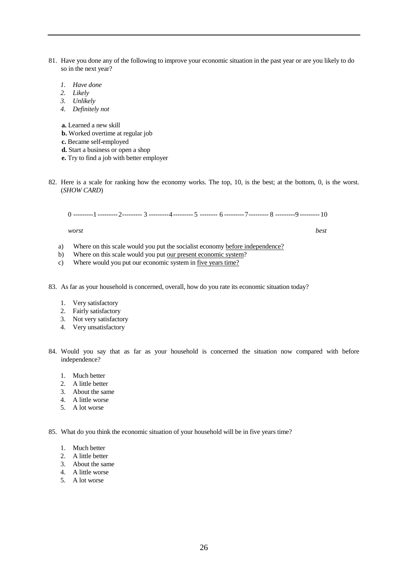- 81. Have you done any of the following to improve your economic situation in the past year or are you likely to do so in the next year?
	- *1. Have done*
	- *2. Likely*
	- *3. Unlikely*
	- *4. Definitely not*

**a.** Learned a new skill

- **b.** Worked overtime at regular job
- **c.** Became self-employed
- **d.** Start a business or open a shop
- **e.** Try to find a job with better employer
- 82. Here is a scale for ranking how the economy works. The top, 10, is the best; at the bottom, 0, is the worst. (*SHOW CARD*)

0 ---------1 ---------2--------- 3 ---------4--------- 5 -------- 6 ---------7--------- 8 ---------9 --------- 10

*worst best*

- a) Where on this scale would you put the socialist economy before independence?
- b) Where on this scale would you put our present economic system?
- c) Where would you put our economic system in <u>five years time?</u>
- 83. As far as your household is concerned, overall, how do you rate its economic situation today?
	- 1. Very satisfactory
	- 2. Fairly satisfactory
	- 3. Not very satisfactory
	- 4. Very unsatisfactory
- 84. Would you say that as far as your household is concerned the situation now compared with before independence?
	- 1. Much better
	- 2. A little better
	- 3. About the same
	- 4. A little worse
	- 5. A lot worse

85. What do you think the economic situation of your household will be in five years time?

- 1. Much better
- 2. A little better
- 3. About the same
- 4. A little worse
- 5. A lot worse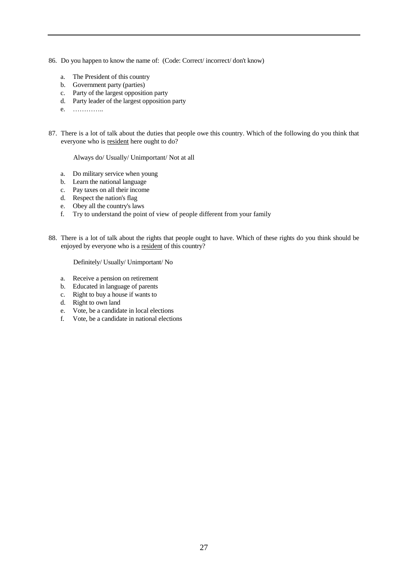- 86. Do you happen to know the name of: (Code: Correct/ incorrect/ don't know)
	- a. The President of this country
	- b. Government party (parties)
	- c. Party of the largest opposition party
	- d. Party leader of the largest opposition party
	- e. …………..
- 87. There is a lot of talk about the duties that people owe this country. Which of the following do you think that everyone who is resident here ought to do?

Always do/ Usually/ Unimportant/ Not at all

- a. Do military service when young
- b. Learn the national language
- c. Pay taxes on all their income
- d. Respect the nation's flag
- e. Obey all the country's laws
- f. Try to understand the point of view of people different from your family
- 88. There is a lot of talk about the rights that people ought to have. Which of these rights do you think should be enjoyed by everyone who is a resident of this country?

Definitely/ Usually/ Unimportant/ No

- a. Receive a pension on retirement
- b. Educated in language of parents
- c. Right to buy a house if wants to
- d. Right to own land
- e. Vote, be a candidate in local elections<br>f. Vote, be a candidate in national elections
- f. Vote, be a candidate in national elections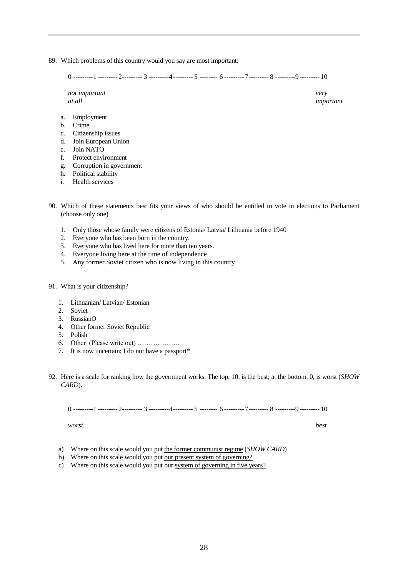89. Which problems of this country would you say are most important:

0 ---------1 ---------2--------- 3 ---------4--------- 5 -------- 6 ---------7--------- 8 ---------9 --------- 10

*not important very at all important*

- a. Employment
- b. Crime
- c. Citizenship issues
- d. Join European Union
- e. Join NATO
- f. Protect environment
- g. Corruption in government
- h. Political stability
- i. Health services
- 90. Which of these statements best fits your views of who should be entitled to vote in elections to Parliament (choose only one)
	- 1. Only those whose family were citizens of Estonia/ Latvia/ Lithuania before 1940
	- 2. Everyone who has been born in the country.
	- 3. Everyone who has lived here for more than ten years.
	- 4. Everyone living here at the time of independence
	- 5. Any former Soviet citizen who is now living in this country
- 91. What is your citizenship?
	- 1. Lithuanian/ Latvian/ Estonian
	- 2. Soviet
	- 3. RussianO
	- 4. Other former Soviet Republic
	- 5. Polish
	- 6. Other (Please write out) ……………….
	- 7. It is now uncertain; I do not have a passport\*
- 92. Here is a scale for ranking how the government works. The top, 10, is the best; at the bottom, 0, is worst (*SHOW CARD*).

0 ---------1 ---------2--------- 3 ---------4--------- 5 -------- 6 ---------7--------- 8 ---------9 --------- 10

*worst best*

- a) Where on this scale would you put the former communist regime (*SHOW CARD*)
- b) Where on this scale would you put <u>our present system of governing?</u>
- c) Where on this scale would you put our system of governing in five years?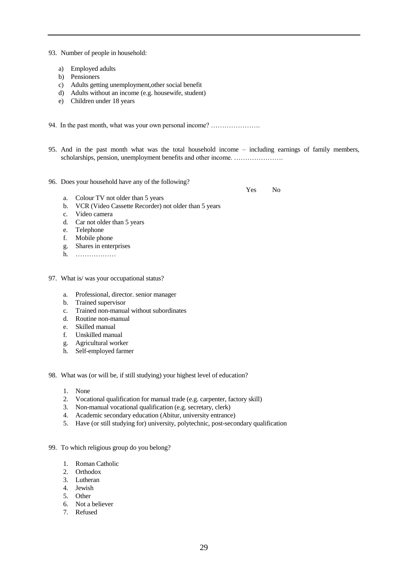93. Number of people in household:

- a) Employed adults
- b) Pensioners
- c) Adults getting unemployment,other social benefit
- d) Adults without an income (e.g. housewife, student)
- e) Children under 18 years

94. In the past month, what was your own personal income? ………………….

- 95. And in the past month what was the total household income including earnings of family members, scholarships, pension, unemployment benefits and other income. ........................
- 96. Does your household have any of the following?

Yes No

- a. Colour TV not older than 5 years
- b. VCR (Video Cassette Recorder) not older than 5 years
- c. Video camera
- d. Car not older than 5 years
- e. Telephone<br>f. Mobile pho
- Mobile phone
- g. Shares in enterprises
- h. ………………
- 97. What is/ was your occupational status?
	- a. Professional, director. senior manager
	- b. Trained supervisor
	- c. Trained non-manual without subordinates
	- d. Routine non-manual
	- e. Skilled manual
	- f. Unskilled manual
	- g. Agricultural worker
	- h. Self-employed farmer
- 98. What was (or will be, if still studying) your highest level of education?
	- 1. None
	- 2. Vocational qualification for manual trade (e.g. carpenter, factory skill)
	- 3. Non-manual vocational qualification (e.g. secretary, clerk)
	- 4. Academic secondary education (Abitur, university entrance)
	- 5. Have (or still studying for) university, polytechnic, post-secondary qualification
- 99. To which religious group do you belong?
	- 1. Roman Catholic
	- 2. Orthodox
	- 3. Lutheran
	- 4. Jewish
	- 5. Other
	- 6. Not a believer
	- 7. Refused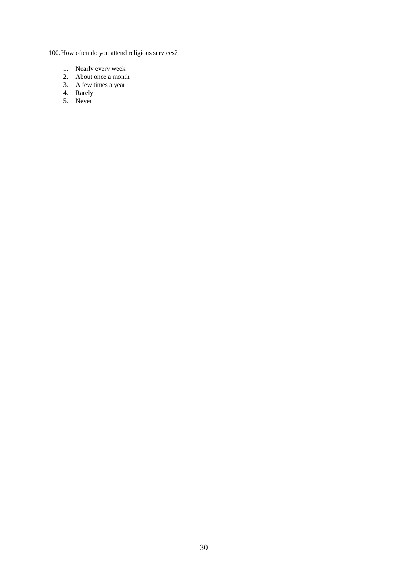100.How often do you attend religious services?

- 1. Nearly every week
- 2. About once a month
- 3. A few times a year
- 4. Rarely
- 5. Never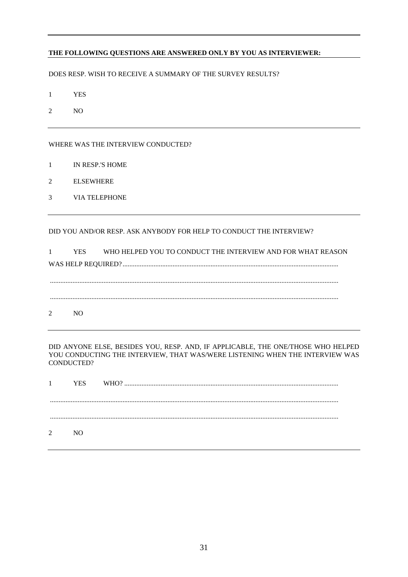#### **THE FOLLOWING QUESTIONS ARE ANSWERED ONLY BY YOU AS INTERVIEWER:**

DOES RESP. WISH TO RECEIVE A SUMMARY OF THE SURVEY RESULTS?

- 1 YES
- 2 NO

#### WHERE WAS THE INTERVIEW CONDUCTED?

- 1 IN RESP.'S HOME
- 2 ELSEWHERE
- 3 VIA TELEPHONE

DID YOU AND/OR RESP. ASK ANYBODY FOR HELP TO CONDUCT THE INTERVIEW?

1 YES WHO HELPED YOU TO CONDUCT THE INTERVIEW AND FOR WHAT REASON WAS HELP REQUIRED? ............................................................................................................................. ....................................................................................................................................................................... ....................................................................................................................................................................... 2 NO

DID ANYONE ELSE, BESIDES YOU, RESP. AND, IF APPLICABLE, THE ONE/THOSE WHO HELPED YOU CONDUCTING THE INTERVIEW, THAT WAS/WERE LISTENING WHEN THE INTERVIEW WAS CONDUCTED?